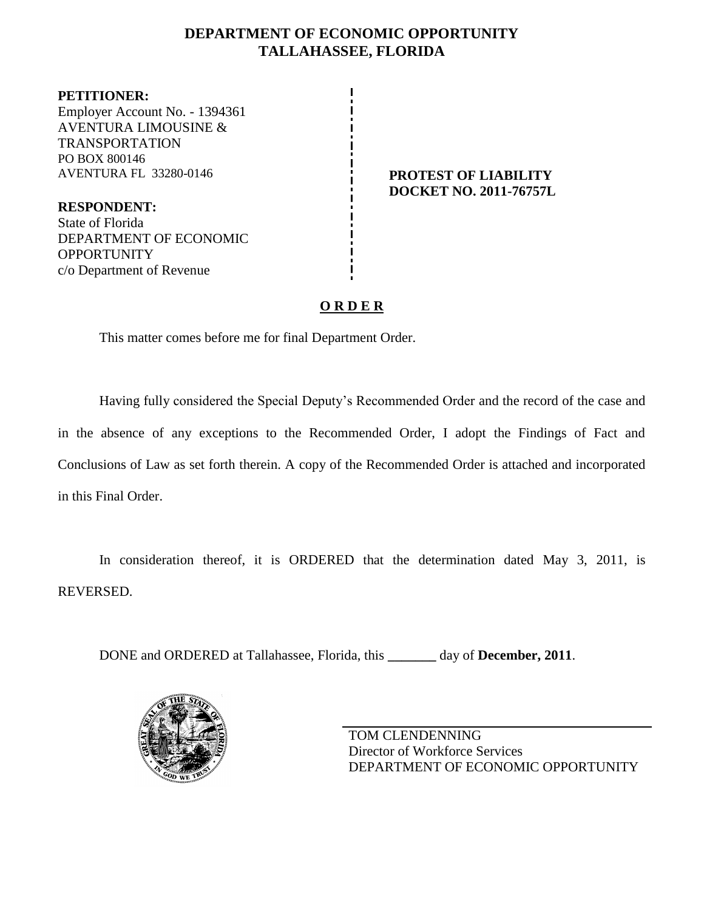# **DEPARTMENT OF ECONOMIC OPPORTUNITY TALLAHASSEE, FLORIDA**

**PETITIONER:** Employer Account No. - 1394361 AVENTURA LIMOUSINE & TRANSPORTATION PO BOX 800146 AVENTURA FL 33280-0146 **PROTEST OF LIABILITY**

**RESPONDENT:** State of Florida DEPARTMENT OF ECONOMIC **OPPORTUNITY** c/o Department of Revenue

# **DOCKET NO. 2011-76757L**

# **O R D E R**

This matter comes before me for final Department Order.

Having fully considered the Special Deputy's Recommended Order and the record of the case and in the absence of any exceptions to the Recommended Order, I adopt the Findings of Fact and Conclusions of Law as set forth therein. A copy of the Recommended Order is attached and incorporated in this Final Order.

In consideration thereof, it is ORDERED that the determination dated May 3, 2011, is REVERSED.

DONE and ORDERED at Tallahassee, Florida, this **\_\_\_\_\_\_\_** day of **December, 2011**.



TOM CLENDENNING Director of Workforce Services DEPARTMENT OF ECONOMIC OPPORTUNITY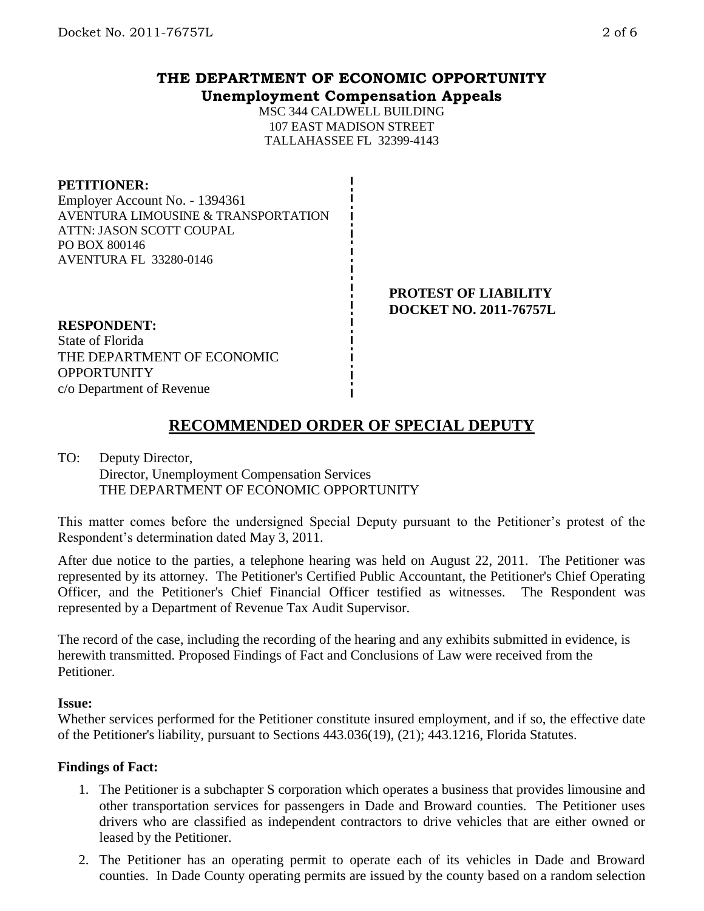## **THE DEPARTMENT OF ECONOMIC OPPORTUNITY Unemployment Compensation Appeals**

MSC 344 CALDWELL BUILDING 107 EAST MADISON STREET TALLAHASSEE FL 32399-4143

#### **PETITIONER:**

Employer Account No. - 1394361 AVENTURA LIMOUSINE & TRANSPORTATION ATTN: JASON SCOTT COUPAL PO BOX 800146 AVENTURA FL 33280-0146

> **PROTEST OF LIABILITY DOCKET NO. 2011-76757L**

#### **RESPONDENT:**

State of Florida THE DEPARTMENT OF ECONOMIC **OPPORTUNITY** c/o Department of Revenue

# **RECOMMENDED ORDER OF SPECIAL DEPUTY**

#### TO: Deputy Director, Director, Unemployment Compensation Services THE DEPARTMENT OF ECONOMIC OPPORTUNITY

This matter comes before the undersigned Special Deputy pursuant to the Petitioner's protest of the Respondent's determination dated May 3, 2011.

After due notice to the parties, a telephone hearing was held on August 22, 2011. The Petitioner was represented by its attorney. The Petitioner's Certified Public Accountant, the Petitioner's Chief Operating Officer, and the Petitioner's Chief Financial Officer testified as witnesses. The Respondent was represented by a Department of Revenue Tax Audit Supervisor.

The record of the case, including the recording of the hearing and any exhibits submitted in evidence, is herewith transmitted. Proposed Findings of Fact and Conclusions of Law were received from the Petitioner.

#### **Issue:**

Whether services performed for the Petitioner constitute insured employment, and if so, the effective date of the Petitioner's liability, pursuant to Sections 443.036(19), (21); 443.1216, Florida Statutes.

#### **Findings of Fact:**

- 1. The Petitioner is a subchapter S corporation which operates a business that provides limousine and other transportation services for passengers in Dade and Broward counties. The Petitioner uses drivers who are classified as independent contractors to drive vehicles that are either owned or leased by the Petitioner.
- 2. The Petitioner has an operating permit to operate each of its vehicles in Dade and Broward counties. In Dade County operating permits are issued by the county based on a random selection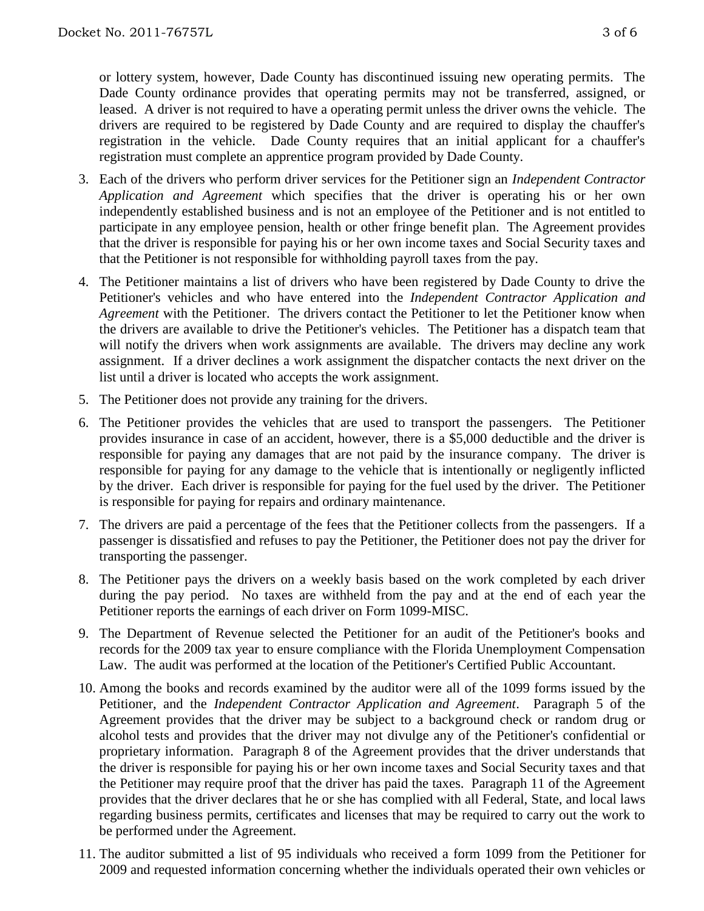or lottery system, however, Dade County has discontinued issuing new operating permits. The Dade County ordinance provides that operating permits may not be transferred, assigned, or leased. A driver is not required to have a operating permit unless the driver owns the vehicle. The drivers are required to be registered by Dade County and are required to display the chauffer's registration in the vehicle. Dade County requires that an initial applicant for a chauffer's registration must complete an apprentice program provided by Dade County.

- 3. Each of the drivers who perform driver services for the Petitioner sign an *Independent Contractor Application and Agreement* which specifies that the driver is operating his or her own independently established business and is not an employee of the Petitioner and is not entitled to participate in any employee pension, health or other fringe benefit plan. The Agreement provides that the driver is responsible for paying his or her own income taxes and Social Security taxes and that the Petitioner is not responsible for withholding payroll taxes from the pay.
- 4. The Petitioner maintains a list of drivers who have been registered by Dade County to drive the Petitioner's vehicles and who have entered into the *Independent Contractor Application and Agreement* with the Petitioner. The drivers contact the Petitioner to let the Petitioner know when the drivers are available to drive the Petitioner's vehicles. The Petitioner has a dispatch team that will notify the drivers when work assignments are available. The drivers may decline any work assignment. If a driver declines a work assignment the dispatcher contacts the next driver on the list until a driver is located who accepts the work assignment.
- 5. The Petitioner does not provide any training for the drivers.
- 6. The Petitioner provides the vehicles that are used to transport the passengers. The Petitioner provides insurance in case of an accident, however, there is a \$5,000 deductible and the driver is responsible for paying any damages that are not paid by the insurance company. The driver is responsible for paying for any damage to the vehicle that is intentionally or negligently inflicted by the driver. Each driver is responsible for paying for the fuel used by the driver. The Petitioner is responsible for paying for repairs and ordinary maintenance.
- 7. The drivers are paid a percentage of the fees that the Petitioner collects from the passengers. If a passenger is dissatisfied and refuses to pay the Petitioner, the Petitioner does not pay the driver for transporting the passenger.
- 8. The Petitioner pays the drivers on a weekly basis based on the work completed by each driver during the pay period. No taxes are withheld from the pay and at the end of each year the Petitioner reports the earnings of each driver on Form 1099-MISC.
- 9. The Department of Revenue selected the Petitioner for an audit of the Petitioner's books and records for the 2009 tax year to ensure compliance with the Florida Unemployment Compensation Law. The audit was performed at the location of the Petitioner's Certified Public Accountant.
- 10. Among the books and records examined by the auditor were all of the 1099 forms issued by the Petitioner, and the *Independent Contractor Application and Agreement*. Paragraph 5 of the Agreement provides that the driver may be subject to a background check or random drug or alcohol tests and provides that the driver may not divulge any of the Petitioner's confidential or proprietary information. Paragraph 8 of the Agreement provides that the driver understands that the driver is responsible for paying his or her own income taxes and Social Security taxes and that the Petitioner may require proof that the driver has paid the taxes. Paragraph 11 of the Agreement provides that the driver declares that he or she has complied with all Federal, State, and local laws regarding business permits, certificates and licenses that may be required to carry out the work to be performed under the Agreement.
- 11. The auditor submitted a list of 95 individuals who received a form 1099 from the Petitioner for 2009 and requested information concerning whether the individuals operated their own vehicles or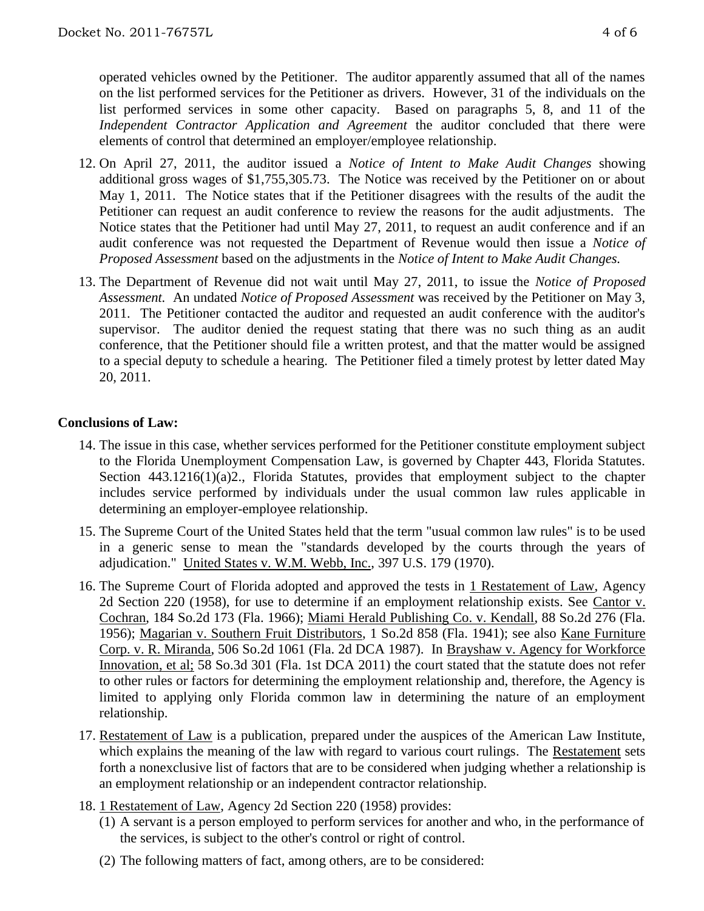operated vehicles owned by the Petitioner. The auditor apparently assumed that all of the names on the list performed services for the Petitioner as drivers. However, 31 of the individuals on the list performed services in some other capacity. Based on paragraphs 5, 8, and 11 of the *Independent Contractor Application and Agreement* the auditor concluded that there were elements of control that determined an employer/employee relationship.

- 12. On April 27, 2011, the auditor issued a *Notice of Intent to Make Audit Changes* showing additional gross wages of \$1,755,305.73. The Notice was received by the Petitioner on or about May 1, 2011. The Notice states that if the Petitioner disagrees with the results of the audit the Petitioner can request an audit conference to review the reasons for the audit adjustments. The Notice states that the Petitioner had until May 27, 2011, to request an audit conference and if an audit conference was not requested the Department of Revenue would then issue a *Notice of Proposed Assessment* based on the adjustments in the *Notice of Intent to Make Audit Changes.*
- 13. The Department of Revenue did not wait until May 27, 2011, to issue the *Notice of Proposed Assessment.* An undated *Notice of Proposed Assessment* was received by the Petitioner on May 3, 2011. The Petitioner contacted the auditor and requested an audit conference with the auditor's supervisor. The auditor denied the request stating that there was no such thing as an audit conference, that the Petitioner should file a written protest, and that the matter would be assigned to a special deputy to schedule a hearing. The Petitioner filed a timely protest by letter dated May 20, 2011.

### **Conclusions of Law:**

- 14. The issue in this case, whether services performed for the Petitioner constitute employment subject to the Florida Unemployment Compensation Law, is governed by Chapter 443, Florida Statutes. Section 443.1216(1)(a)2., Florida Statutes, provides that employment subject to the chapter includes service performed by individuals under the usual common law rules applicable in determining an employer-employee relationship.
- 15. The Supreme Court of the United States held that the term "usual common law rules" is to be used in a generic sense to mean the "standards developed by the courts through the years of adjudication." United States v. W.M. Webb, Inc., 397 U.S. 179 (1970).
- 16. The Supreme Court of Florida adopted and approved the tests in 1 Restatement of Law, Agency 2d Section 220 (1958), for use to determine if an employment relationship exists. See Cantor v. Cochran, 184 So.2d 173 (Fla. 1966); Miami Herald Publishing Co. v. Kendall, 88 So.2d 276 (Fla. 1956); Magarian v. Southern Fruit Distributors, 1 So.2d 858 (Fla. 1941); see also Kane Furniture Corp. v. R. Miranda, 506 So.2d 1061 (Fla. 2d DCA 1987). In Brayshaw v. Agency for Workforce Innovation, et al; 58 So.3d 301 (Fla. 1st DCA 2011) the court stated that the statute does not refer to other rules or factors for determining the employment relationship and, therefore, the Agency is limited to applying only Florida common law in determining the nature of an employment relationship.
- 17. Restatement of Law is a publication, prepared under the auspices of the American Law Institute, which explains the meaning of the law with regard to various court rulings. The Restatement sets forth a nonexclusive list of factors that are to be considered when judging whether a relationship is an employment relationship or an independent contractor relationship.
- 18. 1 Restatement of Law, Agency 2d Section 220 (1958) provides:
	- (1) A servant is a person employed to perform services for another and who, in the performance of the services, is subject to the other's control or right of control.
	- (2) The following matters of fact, among others, are to be considered: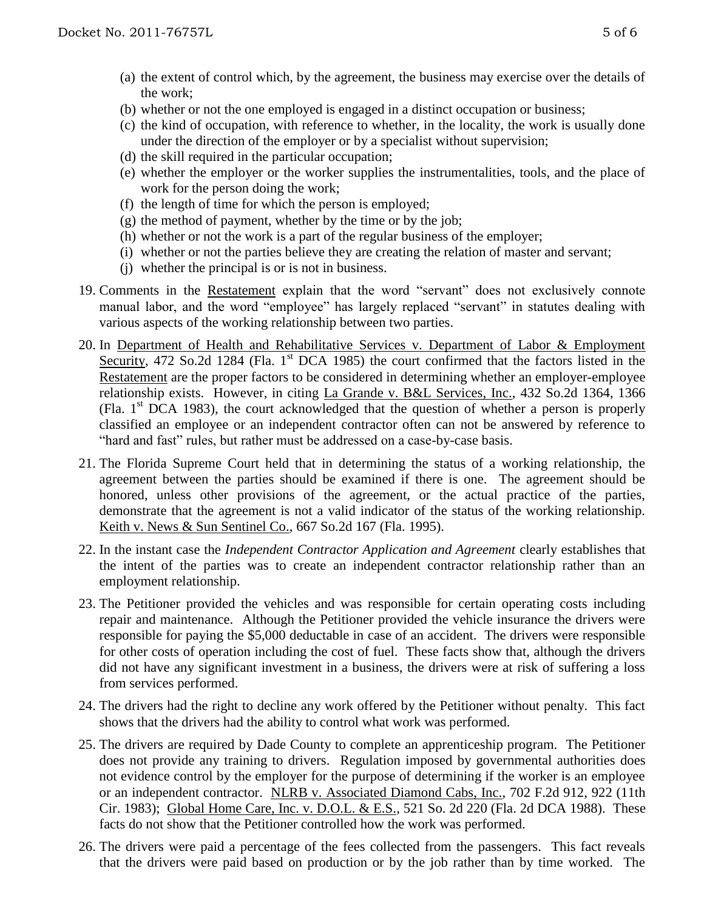- (a) the extent of control which, by the agreement, the business may exercise over the details of the work;
- (b) whether or not the one employed is engaged in a distinct occupation or business;
- (c) the kind of occupation, with reference to whether, in the locality, the work is usually done under the direction of the employer or by a specialist without supervision;
- (d) the skill required in the particular occupation;
- (e) whether the employer or the worker supplies the instrumentalities, tools, and the place of work for the person doing the work;
- (f) the length of time for which the person is employed;
- $(g)$  the method of payment, whether by the time or by the job;
- (h) whether or not the work is a part of the regular business of the employer;
- (i) whether or not the parties believe they are creating the relation of master and servant;
- (j) whether the principal is or is not in business.
- 19. Comments in the Restatement explain that the word "servant" does not exclusively connote manual labor, and the word "employee" has largely replaced "servant" in statutes dealing with various aspects of the working relationship between two parties.
- 20. In Department of Health and Rehabilitative Services v. Department of Labor & Employment Security, 472 So.2d 1284 (Fla. 1<sup>st</sup> DCA 1985) the court confirmed that the factors listed in the Restatement are the proper factors to be considered in determining whether an employer-employee relationship exists. However, in citing La Grande v. B&L Services, Inc., 432 So.2d 1364, 1366 (Fla.  $1<sup>st</sup> DCA$  1983), the court acknowledged that the question of whether a person is properly classified an employee or an independent contractor often can not be answered by reference to "hard and fast" rules, but rather must be addressed on a case-by-case basis.
- 21. The Florida Supreme Court held that in determining the status of a working relationship, the agreement between the parties should be examined if there is one. The agreement should be honored, unless other provisions of the agreement, or the actual practice of the parties, demonstrate that the agreement is not a valid indicator of the status of the working relationship. Keith v. News & Sun Sentinel Co., 667 So.2d 167 (Fla. 1995).
- 22. In the instant case the *Independent Contractor Application and Agreement* clearly establishes that the intent of the parties was to create an independent contractor relationship rather than an employment relationship.
- 23. The Petitioner provided the vehicles and was responsible for certain operating costs including repair and maintenance. Although the Petitioner provided the vehicle insurance the drivers were responsible for paying the \$5,000 deductable in case of an accident. The drivers were responsible for other costs of operation including the cost of fuel. These facts show that, although the drivers did not have any significant investment in a business, the drivers were at risk of suffering a loss from services performed.
- 24. The drivers had the right to decline any work offered by the Petitioner without penalty. This fact shows that the drivers had the ability to control what work was performed.
- 25. The drivers are required by Dade County to complete an apprenticeship program. The Petitioner does not provide any training to drivers. Regulation imposed by governmental authorities does not evidence control by the employer for the purpose of determining if the worker is an employee or an independent contractor. NLRB v. Associated Diamond Cabs, Inc., 702 F.2d 912, 922 (11th Cir. 1983); Global Home Care, Inc. v. D.O.L. & E.S., 521 So. 2d 220 (Fla. 2d DCA 1988). These facts do not show that the Petitioner controlled how the work was performed.
- 26. The drivers were paid a percentage of the fees collected from the passengers. This fact reveals that the drivers were paid based on production or by the job rather than by time worked. The